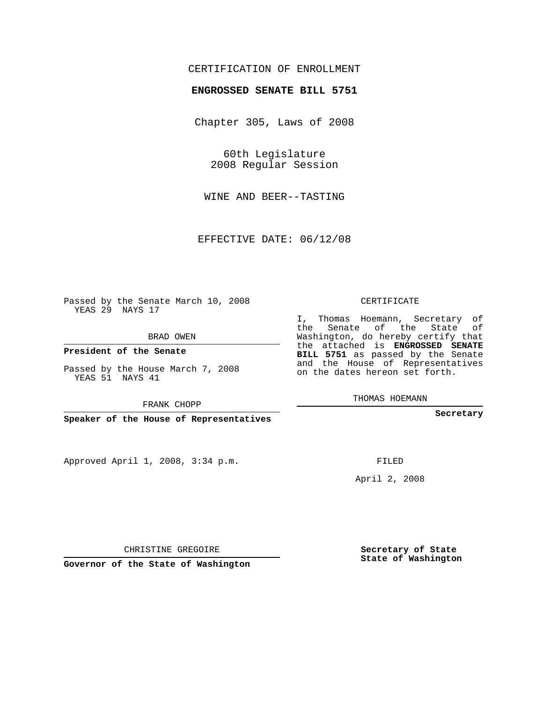# CERTIFICATION OF ENROLLMENT

### **ENGROSSED SENATE BILL 5751**

Chapter 305, Laws of 2008

60th Legislature 2008 Regular Session

WINE AND BEER--TASTING

EFFECTIVE DATE: 06/12/08

Passed by the Senate March 10, 2008 YEAS 29 NAYS 17

BRAD OWEN

**President of the Senate**

Passed by the House March 7, 2008 YEAS 51 NAYS 41

FRANK CHOPP

**Speaker of the House of Representatives**

Approved April 1, 2008, 3:34 p.m.

CERTIFICATE

I, Thomas Hoemann, Secretary of the Senate of the State of Washington, do hereby certify that the attached is **ENGROSSED SENATE BILL 5751** as passed by the Senate and the House of Representatives on the dates hereon set forth.

THOMAS HOEMANN

**Secretary**

FILED

April 2, 2008

**Secretary of State State of Washington**

CHRISTINE GREGOIRE

**Governor of the State of Washington**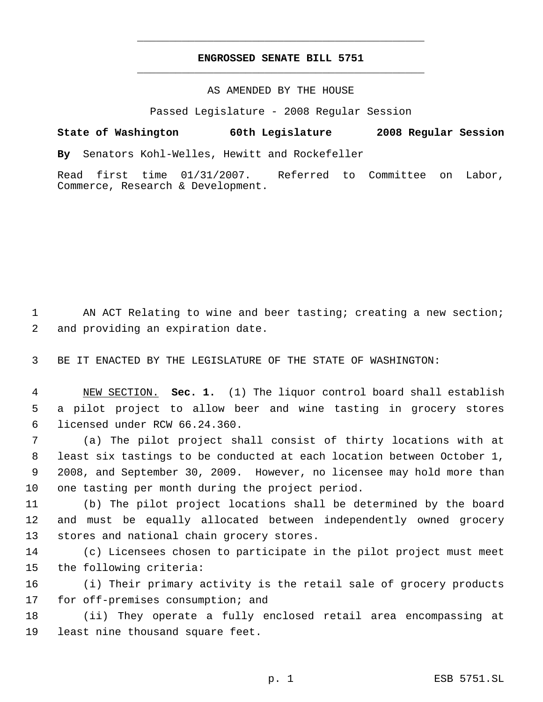# **ENGROSSED SENATE BILL 5751** \_\_\_\_\_\_\_\_\_\_\_\_\_\_\_\_\_\_\_\_\_\_\_\_\_\_\_\_\_\_\_\_\_\_\_\_\_\_\_\_\_\_\_\_\_

\_\_\_\_\_\_\_\_\_\_\_\_\_\_\_\_\_\_\_\_\_\_\_\_\_\_\_\_\_\_\_\_\_\_\_\_\_\_\_\_\_\_\_\_\_

## AS AMENDED BY THE HOUSE

Passed Legislature - 2008 Regular Session

**State of Washington 60th Legislature 2008 Regular Session**

**By** Senators Kohl-Welles, Hewitt and Rockefeller

Read first time 01/31/2007. Referred to Committee on Labor, Commerce, Research & Development.

1 AN ACT Relating to wine and beer tasting; creating a new section; and providing an expiration date.

BE IT ENACTED BY THE LEGISLATURE OF THE STATE OF WASHINGTON:

 NEW SECTION. **Sec. 1.** (1) The liquor control board shall establish a pilot project to allow beer and wine tasting in grocery stores licensed under RCW 66.24.360.

 (a) The pilot project shall consist of thirty locations with at least six tastings to be conducted at each location between October 1, 2008, and September 30, 2009. However, no licensee may hold more than one tasting per month during the project period.

 (b) The pilot project locations shall be determined by the board and must be equally allocated between independently owned grocery stores and national chain grocery stores.

 (c) Licensees chosen to participate in the pilot project must meet the following criteria:

 (i) Their primary activity is the retail sale of grocery products for off-premises consumption; and

 (ii) They operate a fully enclosed retail area encompassing at least nine thousand square feet.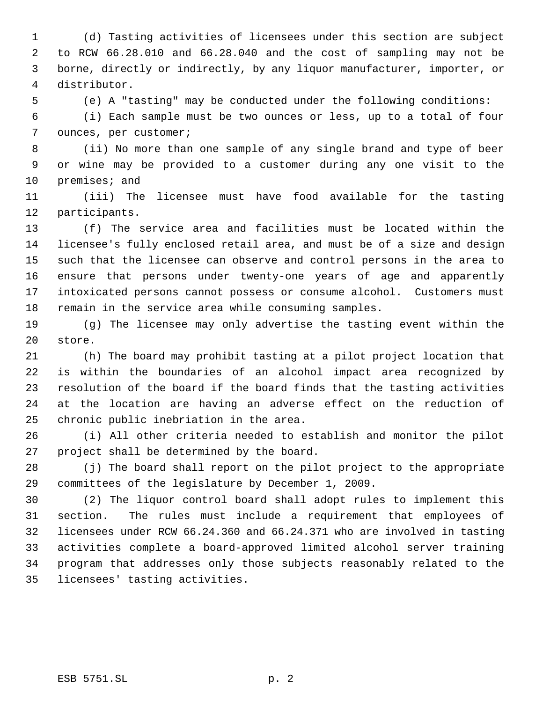(d) Tasting activities of licensees under this section are subject to RCW 66.28.010 and 66.28.040 and the cost of sampling may not be borne, directly or indirectly, by any liquor manufacturer, importer, or distributor.

(e) A "tasting" may be conducted under the following conditions:

 (i) Each sample must be two ounces or less, up to a total of four ounces, per customer;

 (ii) No more than one sample of any single brand and type of beer or wine may be provided to a customer during any one visit to the premises; and

 (iii) The licensee must have food available for the tasting participants.

 (f) The service area and facilities must be located within the licensee's fully enclosed retail area, and must be of a size and design such that the licensee can observe and control persons in the area to ensure that persons under twenty-one years of age and apparently intoxicated persons cannot possess or consume alcohol. Customers must remain in the service area while consuming samples.

 (g) The licensee may only advertise the tasting event within the store.

 (h) The board may prohibit tasting at a pilot project location that is within the boundaries of an alcohol impact area recognized by resolution of the board if the board finds that the tasting activities at the location are having an adverse effect on the reduction of chronic public inebriation in the area.

 (i) All other criteria needed to establish and monitor the pilot project shall be determined by the board.

 (j) The board shall report on the pilot project to the appropriate committees of the legislature by December 1, 2009.

 (2) The liquor control board shall adopt rules to implement this section. The rules must include a requirement that employees of licensees under RCW 66.24.360 and 66.24.371 who are involved in tasting activities complete a board-approved limited alcohol server training program that addresses only those subjects reasonably related to the licensees' tasting activities.